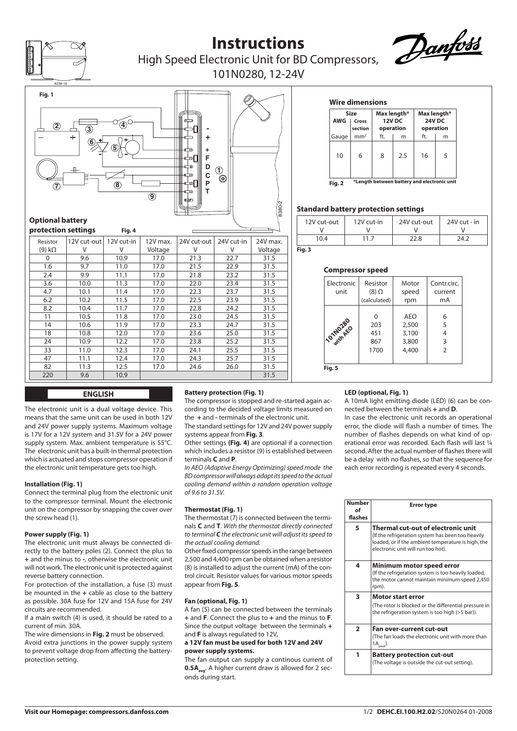

# **Instructions**



**Max length\* 24V DC operation** ft. m

 $16 \mid 5$ 

High Speed Electronic Unit for BD Compressors, 101N0280, 12-24V



| protection settings |             | Fig. 4     |          |             |            |          |
|---------------------|-------------|------------|----------|-------------|------------|----------|
| Resistor            | 12V cut-out | 12V cut-in | 12V max. | 24V cut-out | 24V cut-in | 24V max. |
| $(9) k\Omega$       | V           | V          | Voltage  | ٧           | v          | Voltage  |
| 0                   | 9.6         | 10.9       | 17.0     | 21.3        | 22.7       | 31.5     |
| 1.6                 | 9.7         | 11.0       | 17.0     | 21.5        | 22.9       | 31.5     |
| 2.4                 | 9.9         | 11.1       | 17.0     | 21.8        | 23.2       | 31.5     |
| 3.6                 | 10.0        | 11.3       | 17.0     | 22.0        | 23.4       | 31.5     |
| 4.7                 | 10.1        | 11.4       | 17.0     | 22.3        | 23.7       | 31.5     |
| 6.2                 | 10.2        | 11.5       | 17.0     | 22.5        | 23.9       | 31.5     |
| 8.2                 | 10.4        | 11.7       | 17.0     | 22.8        | 24.2       | 31.5     |
| 11                  | 10.5        | 11.8       | 17.0     | 23.0        | 24.5       | 31.5     |
| 14                  | 10.6        | 11.9       | 17.0     | 23.3        | 24.7       | 31.5     |
| 18                  | 10.8        | 12.0       | 17.0     | 23.6        | 25.0       | 31.5     |
| 24                  | 10.9        | 12.2       | 17.0     | 23.8        | 25.2       | 31.5     |
| 33                  | 11.0        | 12.3       | 17.0     | 24.1        | 25.5       | 31.5     |
| 47                  | 11.1        | 12.4       | 17.0     | 24.3        | 25.7       | 31.5     |
| 82                  | 11.3        | 12.5       | 17.0     | 24.6        | 26.0       | 31.5     |
| 220                 | 9.6         | 10.9       |          |             |            | 31.5     |

### **Fig. 3**

### **Compressor speed**

12V cut-out  $\mathcal{U}$ 10.4

**Fig. 2**

12V cut-in V 11.7

**Standard battery protection settings** 

**Wire dimensions**

**Size**<br>تارىمى **AWG Cross section** Gauge mm<sup>2</sup>

 $10 \mid 6$ 



24V cut-out V  $22.8$ 

**\*Length between battery and electronic unit**

**Max length\* 12V DC operation** ft. m

8 2.5

24V cut - in V 24.2

### **ENGLISH**

The electronic unit is a dual voltage device. This means that the same unit can be used in both 12V and 24V power supply systems. Maximum voltage is 17V for a 12V system and 31.5V for a 24V power supply system. Max. ambient temperature is 55°C. The electronic unit has a built-in thermal protection which is actuated and stops compressor operation if the electronic unit temperature gets too high.

### **Installation (Fig. 1)**

Connect the terminal plug from the electronic unit to the compressor terminal. Mount the electronic unit on the compressor by snapping the cover over the screw head (1).

### **Power supply (Fig. 1)**

The electronic unit must always be connected directly to the battery poles (2). Connect the plus to **+** and the minus to **-**, otherwise the electronic unit will not work. The electronic unit is protected against reverse battery connection.

For protection of the installation, a fuse (3) must be mounted in the **+** cable as close to the battery as possible. 30A fuse for 12V and 15A fuse for 24V circuits are recommended.

If a main switch (4) is used, it should be rated to a current of min. 30A.

The wire dimensions in **Fig. 2** must be observed.

Avoid extra junctions in the power supply system to prevent voltage drop from affecting the batteryprotection setting.

## **Battery protection (Fig. 1)**

The compressor is stopped and re-started again according to the decided voltage limits measured on the **+** and **-** terminals of the electronic unit.

The standard settings for 12V and 24V power supply systems appear from **Fig. 3**.

Other settings **(Fig. 4)** are optional if a connection which includes a resistor (9) is established between terminals **C** and **P**.

*In AEO (Adaptive Energy Optimizing) speed mode the BD compressor will always adapt its speed to the actual cooling demand within a random operation voltage of 9.6 to 31.5V.*

### **Thermostat (Fig. 1)**

The thermostat (7) is connected between the terminals **C** and **T**. *With the thermostat directly connected to terminal C the electronic unit will adjust its speed to the actual cooling demand.*

Other fixed compressor speeds in the range between 2,500 and 4,400 rpm can be obtained when a resistor (8) is installed to adjust the current (mA) of the control circuit. Resistor values for various motor speeds appear from **Fig. 5**.

### **Fan (optional, Fig. 1)**

A fan (5) can be connected between the terminals **+** and **F**. Connect the plus to **+** and the minus to **F**. Since the output voltage between the terminals **+** and **F** is always regulated to 12V,

### **a 12V fan must be used for both 12V and 24V power supply systems.**

The fan output can supply a continous current of **0.5A<sub>avg</sub>**. A higher current draw is allowed for 2 seconds during start.

### **LED (optional, Fig. 1)**

A 10mA light emitting diode (LED) (6) can be connected between the terminals **+** and **D**.

In case the electronic unit records an operational error, the diode will flash a number of times. The number of flashes depends on what kind of operational error was recorded. Each flash will last ¼ second. After the actual number of flashes there will be a delay with no flashes, so that the sequence for each error recording is repeated every 4 seconds.

| <b>Number</b><br>Ωf<br>flashes | <b>Error type</b>                                                                                                                                                                   |
|--------------------------------|-------------------------------------------------------------------------------------------------------------------------------------------------------------------------------------|
| 5                              | Thermal cut-out of electronic unit<br>(If the refrigeration system has been too heavily<br>loaded, or if the ambient temperature is high, the<br>electronic unit will run too hot). |
| 4                              | Minimum motor speed error<br>(If the refrigeration system is too heavily loaded,<br>the motor cannot maintain minimum speed 2,450<br>rpm).                                          |
| 3                              | <b>Motor start error</b><br>(The rotor is blocked or the differential pressure in<br>the refrigeration system is too high (>5 bar)).                                                |
| $\overline{2}$                 | Fan over-current cut-out<br>(The fan loads the electronic unit with more than<br>$1A_{\text{peak}}$ ).                                                                              |
| 1                              | <b>Battery protection cut-out</b><br>(The voltage is outside the cut-out setting).                                                                                                  |